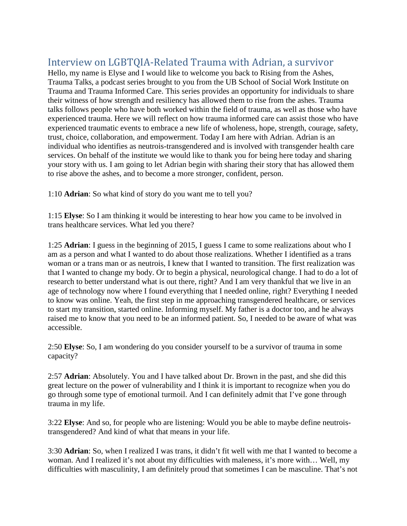## Interview on LGBTQIA-Related Trauma with Adrian, a survivor

Hello, my name is Elyse and I would like to welcome you back to Rising from the Ashes, Trauma Talks, a podcast series brought to you from the UB School of Social Work Institute on Trauma and Trauma Informed Care. This series provides an opportunity for individuals to share their witness of how strength and resiliency has allowed them to rise from the ashes. Trauma talks follows people who have both worked within the field of trauma, as well as those who have experienced trauma. Here we will reflect on how trauma informed care can assist those who have experienced traumatic events to embrace a new life of wholeness, hope, strength, courage, safety, trust, choice, collaboration, and empowerment. Today I am here with Adrian. Adrian is an individual who identifies as neutrois-transgendered and is involved with transgender health care services. On behalf of the institute we would like to thank you for being here today and sharing your story with us. I am going to let Adrian begin with sharing their story that has allowed them to rise above the ashes, and to become a more stronger, confident, person.

1:10 **Adrian**: So what kind of story do you want me to tell you?

1:15 **Elyse**: So I am thinking it would be interesting to hear how you came to be involved in trans healthcare services. What led you there?

1:25 **Adrian**: I guess in the beginning of 2015, I guess I came to some realizations about who I am as a person and what I wanted to do about those realizations. Whether I identified as a trans woman or a trans man or as neutrois, I knew that I wanted to transition. The first realization was that I wanted to change my body. Or to begin a physical, neurological change. I had to do a lot of research to better understand what is out there, right? And I am very thankful that we live in an age of technology now where I found everything that I needed online, right? Everything I needed to know was online. Yeah, the first step in me approaching transgendered healthcare, or services to start my transition, started online. Informing myself. My father is a doctor too, and he always raised me to know that you need to be an informed patient. So, I needed to be aware of what was accessible.

2:50 **Elyse**: So, I am wondering do you consider yourself to be a survivor of trauma in some capacity?

2:57 **Adrian**: Absolutely. You and I have talked about Dr. Brown in the past, and she did this great lecture on the power of vulnerability and I think it is important to recognize when you do go through some type of emotional turmoil. And I can definitely admit that I've gone through trauma in my life.

3:22 **Elyse**: And so, for people who are listening: Would you be able to maybe define neutroistransgendered? And kind of what that means in your life.

3:30 **Adrian**: So, when I realized I was trans, it didn't fit well with me that I wanted to become a woman. And I realized it's not about my difficulties with maleness, it's more with… Well, my difficulties with masculinity, I am definitely proud that sometimes I can be masculine. That's not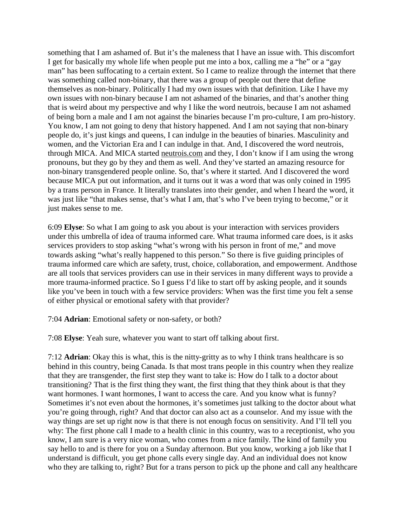something that I am ashamed of. But it's the maleness that I have an issue with. This discomfort I get for basically my whole life when people put me into a box, calling me a "he" or a "gay man" has been suffocating to a certain extent. So I came to realize through the internet that there was something called non-binary, that there was a group of people out there that define themselves as non-binary. Politically I had my own issues with that definition. Like I have my own issues with non-binary because I am not ashamed of the binaries, and that's another thing that is weird about my perspective and why I like the word neutrois, because I am not ashamed of being born a male and I am not against the binaries because I'm pro-culture, I am pro-history. You know, I am not going to deny that history happened. And I am not saying that non-binary people do, it's just kings and queens, I can indulge in the beauties of binaries. Masculinity and women, and the Victorian Era and I can indulge in that. And, I discovered the word neutrois, through MICA. And MICA started neutrois.com and they, I don't know if I am using the wrong pronouns, but they go by they and them as well. And they've started an amazing resource for non-binary transgendered people online. So, that's where it started. And I discovered the word because MICA put out information, and it turns out it was a word that was only coined in 1995 by a trans person in France. It literally translates into their gender, and when I heard the word, it was just like "that makes sense, that's what I am, that's who I've been trying to become," or it just makes sense to me.

6:09 **Elyse**: So what I am going to ask you about is your interaction with services providers under this umbrella of idea of trauma informed care. What trauma informed care does, is it asks services providers to stop asking "what's wrong with his person in front of me," and move towards asking "what's really happened to this person." So there is five guiding principles of trauma informed care which are safety, trust, choice, collaboration, and empowerment. And those are all tools that services providers can use in their services in many different ways to provide a more trauma-informed practice. So I guess I'd like to start off by asking people, and it sounds like you've been in touch with a few service providers: When was the first time you felt a sense of either physical or emotional safety with that provider?

7:04 **Adrian**: Emotional safety or non-safety, or both?

7:08 **Elyse**: Yeah sure, whatever you want to start off talking about first.

7:12 **Adrian**: Okay this is what, this is the nitty-gritty as to why I think trans healthcare is so behind in this country, being Canada. Is that most trans people in this country when they realize that they are transgender, the first step they want to take is: How do I talk to a doctor about transitioning? That is the first thing they want, the first thing that they think about is that they want hormones. I want hormones, I want to access the care. And you know what is funny? Sometimes it's not even about the hormones, it's sometimes just talking to the doctor about what you're going through, right? And that doctor can also act as a counselor. And my issue with the way things are set up right now is that there is not enough focus on sensitivity. And I'll tell you why: The first phone call I made to a health clinic in this country, was to a receptionist, who you know, I am sure is a very nice woman, who comes from a nice family. The kind of family you say hello to and is there for you on a Sunday afternoon. But you know, working a job like that I understand is difficult, you get phone calls every single day. And an individual does not know who they are talking to, right? But for a trans person to pick up the phone and call any healthcare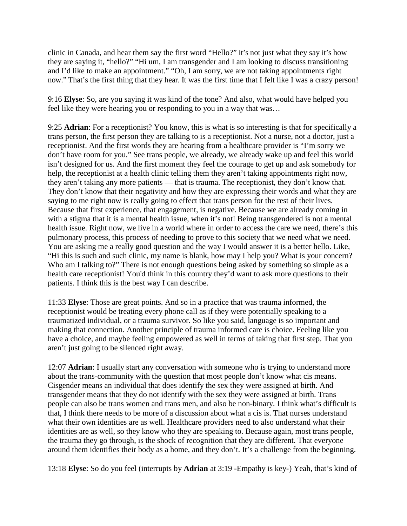clinic in Canada, and hear them say the first word "Hello?" it's not just what they say it's how they are saying it, "hello?" "Hi um, I am transgender and I am looking to discuss transitioning and I'd like to make an appointment." "Oh, I am sorry, we are not taking appointments right now." That's the first thing that they hear. It was the first time that I felt like I was a crazy person!

9:16 **Elyse**: So, are you saying it was kind of the tone? And also, what would have helped you feel like they were hearing you or responding to you in a way that was…

9:25 **Adrian**: For a receptionist? You know, this is what is so interesting is that for specifically a trans person, the first person they are talking to is a receptionist. Not a nurse, not a doctor, just a receptionist. And the first words they are hearing from a healthcare provider is "I'm sorry we don't have room for you." See trans people, we already, we already wake up and feel this world isn't designed for us. And the first moment they feel the courage to get up and ask somebody for help, the receptionist at a health clinic telling them they aren't taking appointments right now, they aren't taking any more patients — that is trauma. The receptionist, they don't know that. They don't know that their negativity and how they are expressing their words and what they are saying to me right now is really going to effect that trans person for the rest of their lives. Because that first experience, that engagement, is negative. Because we are already coming in with a stigma that it is a mental health issue, when it's not! Being transgendered is not a mental health issue. Right now, we live in a world where in order to access the care we need, there's this pulmonary process, this process of needing to prove to this society that we need what we need. You are asking me a really good question and the way I would answer it is a better hello. Like, "Hi this is such and such clinic, my name is blank, how may I help you? What is your concern? Who am I talking to?" There is not enough questions being asked by something so simple as a health care receptionist! You'd think in this country they'd want to ask more questions to their patients. I think this is the best way I can describe.

11:33 **Elyse**: Those are great points. And so in a practice that was trauma informed, the receptionist would be treating every phone call as if they were potentially speaking to a traumatized individual, or a trauma survivor. So like you said, language is so important and making that connection. Another principle of trauma informed care is choice. Feeling like you have a choice, and maybe feeling empowered as well in terms of taking that first step. That you aren't just going to be silenced right away.

12:07 **Adrian**: I usually start any conversation with someone who is trying to understand more about the trans-community with the question that most people don't know what cis means. Cisgender means an individual that does identify the sex they were assigned at birth. And transgender means that they do not identify with the sex they were assigned at birth. Trans people can also be trans women and trans men, and also be non-binary. I think what's difficult is that, I think there needs to be more of a discussion about what a cis is. That nurses understand what their own identities are as well. Healthcare providers need to also understand what their identities are as well, so they know who they are speaking to. Because again, most trans people, the trauma they go through, is the shock of recognition that they are different. That everyone around them identifies their body as a home, and they don't. It's a challenge from the beginning.

13:18 **Elyse**: So do you feel (interrupts by **Adrian** at 3:19 -Empathy is key-) Yeah, that's kind of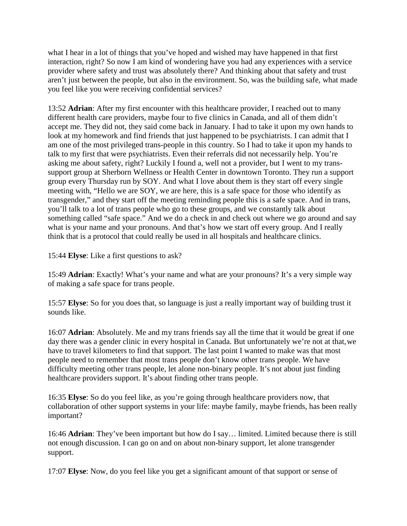what I hear in a lot of things that you've hoped and wished may have happened in that first interaction, right? So now I am kind of wondering have you had any experiences with a service provider where safety and trust was absolutely there? And thinking about that safety and trust aren't just between the people, but also in the environment. So, was the building safe, what made you feel like you were receiving confidential services?

13:52 **Adrian**: After my first encounter with this healthcare provider, I reached out to many different health care providers, maybe four to five clinics in Canada, and all of them didn't accept me. They did not, they said come back in January. I had to take it upon my own hands to look at my homework and find friends that just happened to be psychiatrists. I can admit that I am one of the most privileged trans-people in this country. So I had to take it upon my hands to talk to my first that were psychiatrists. Even their referrals did not necessarily help. You're asking me about safety, right? Luckily I found a, well not a provider, but I went to my transsupport group at Sherborn Wellness or Health Center in downtown Toronto. They run a support group every Thursday run by SOY. And what I love about them is they start off every single meeting with, "Hello we are SOY, we are here, this is a safe space for those who identify as transgender," and they start off the meeting reminding people this is a safe space. And in trans, you'll talk to a lot of trans people who go to these groups, and we constantly talk about something called "safe space." And we do a check in and check out where we go around and say what is your name and your pronouns. And that's how we start off every group. And I really think that is a protocol that could really be used in all hospitals and healthcare clinics.

15:44 **Elyse**: Like a first questions to ask?

15:49 **Adrian**: Exactly! What's your name and what are your pronouns? It's a very simple way of making a safe space for trans people.

15:57 **Elyse**: So for you does that, so language is just a really important way of building trust it sounds like.

16:07 **Adrian**: Absolutely. Me and my trans friends say all the time that it would be great if one day there was a gender clinic in every hospital in Canada. But unfortunately we're not at that, we have to travel kilometers to find that support. The last point I wanted to make was that most people need to remember that most trans people don't know other trans people. We have difficulty meeting other trans people, let alone non-binary people. It's not about just finding healthcare providers support. It's about finding other trans people.

16:35 **Elyse**: So do you feel like, as you're going through healthcare providers now, that collaboration of other support systems in your life: maybe family, maybe friends, has been really important?

16:46 **Adrian**: They've been important but how do I say… limited. Limited because there is still not enough discussion. I can go on and on about non-binary support, let alone transgender support.

17:07 **Elyse**: Now, do you feel like you get a significant amount of that support or sense of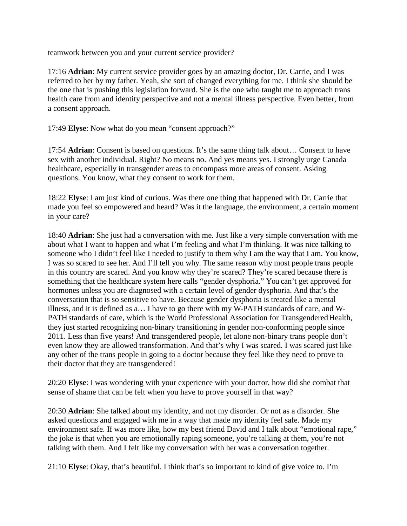teamwork between you and your current service provider?

17:16 **Adrian**: My current service provider goes by an amazing doctor, Dr. Carrie, and I was referred to her by my father. Yeah, she sort of changed everything for me. I think she should be the one that is pushing this legislation forward. She is the one who taught me to approach trans health care from and identity perspective and not a mental illness perspective. Even better, from a consent approach.

17:49 **Elyse**: Now what do you mean "consent approach?"

17:54 **Adrian**: Consent is based on questions. It's the same thing talk about… Consent to have sex with another individual. Right? No means no. And yes means yes. I strongly urge Canada healthcare, especially in transgender areas to encompass more areas of consent. Asking questions. You know, what they consent to work for them.

18:22 **Elyse**: I am just kind of curious. Was there one thing that happened with Dr. Carrie that made you feel so empowered and heard? Was it the language, the environment, a certain moment in your care?

18:40 **Adrian**: She just had a conversation with me. Just like a very simple conversation with me about what I want to happen and what I'm feeling and what I'm thinking. It was nice talking to someone who I didn't feel like I needed to justify to them why I am the way that I am. You know, I was so scared to see her. And I'll tell you why. The same reason why most people trans people in this country are scared. And you know why they're scared? They're scared because there is something that the healthcare system here calls "gender dysphoria." You can't get approved for hormones unless you are diagnosed with a certain level of gender dysphoria. And that's the conversation that is so sensitive to have. Because gender dysphoria is treated like a mental illness, and it is defined as a… I have to go there with my W-PATH standards of care, and W-PATH standards of care, which is the World Professional Association for Transgendered Health, they just started recognizing non-binary transitioning in gender non-conforming people since 2011. Less than five years! And transgendered people, let alone non-binary trans people don't even know they are allowed transformation. And that's why I was scared. I was scared just like any other of the trans people in going to a doctor because they feel like they need to prove to their doctor that they are transgendered!

20:20 **Elyse**: I was wondering with your experience with your doctor, how did she combat that sense of shame that can be felt when you have to prove yourself in that way?

20:30 **Adrian**: She talked about my identity, and not my disorder. Or not as a disorder. She asked questions and engaged with me in a way that made my identity feel safe. Made my environment safe. If was more like, how my best friend David and I talk about "emotional rape," the joke is that when you are emotionally raping someone, you're talking at them, you're not talking with them. And I felt like my conversation with her was a conversation together.

21:10 **Elyse**: Okay, that's beautiful. I think that's so important to kind of give voice to. I'm